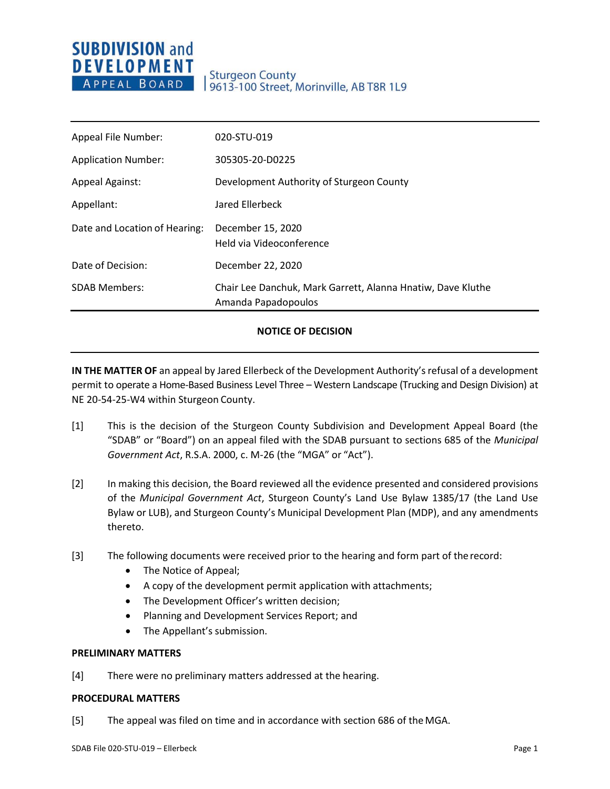# **SUBDIVISION and DEVELOPMENT** APPEAL BOARD

# Sturgeon County<br>| 9613-100 Street, Morinville, AB T8R 1L9

| Appeal File Number:           | 020-STU-019                                                                        |
|-------------------------------|------------------------------------------------------------------------------------|
| <b>Application Number:</b>    | 305305-20-D0225                                                                    |
| <b>Appeal Against:</b>        | Development Authority of Sturgeon County                                           |
| Appellant:                    | Jared Ellerbeck                                                                    |
| Date and Location of Hearing: | December 15, 2020<br>Held via Videoconference                                      |
| Date of Decision:             | December 22, 2020                                                                  |
| <b>SDAB Members:</b>          | Chair Lee Danchuk, Mark Garrett, Alanna Hnatiw, Dave Kluthe<br>Amanda Papadopoulos |

### **NOTICE OF DECISION**

**IN THE MATTER OF** an appeal by Jared Ellerbeck of the Development Authority's refusal of a development permit to operate a Home-Based Business Level Three – Western Landscape (Trucking and Design Division) at NE 20-54-25-W4 within Sturgeon County.

- [1] This is the decision of the Sturgeon County Subdivision and Development Appeal Board (the "SDAB" or "Board") on an appeal filed with the SDAB pursuant to sections 685 of the *Municipal Government Act*, R.S.A. 2000, c. M-26 (the "MGA" or "Act").
- [2] In making this decision, the Board reviewed all the evidence presented and considered provisions of the *Municipal Government Act*, Sturgeon County's Land Use Bylaw 1385/17 (the Land Use Bylaw or LUB), and Sturgeon County's Municipal Development Plan (MDP), and any amendments thereto.
- [3] The following documents were received prior to the hearing and form part of the record:
	- The Notice of Appeal;
	- A copy of the development permit application with attachments;
	- The Development Officer's written decision;
	- Planning and Development Services Report; and
	- The Appellant's submission.

#### **PRELIMINARY MATTERS**

[4] There were no preliminary matters addressed at the hearing.

#### **PROCEDURAL MATTERS**

[5] The appeal was filed on time and in accordance with section 686 of theMGA.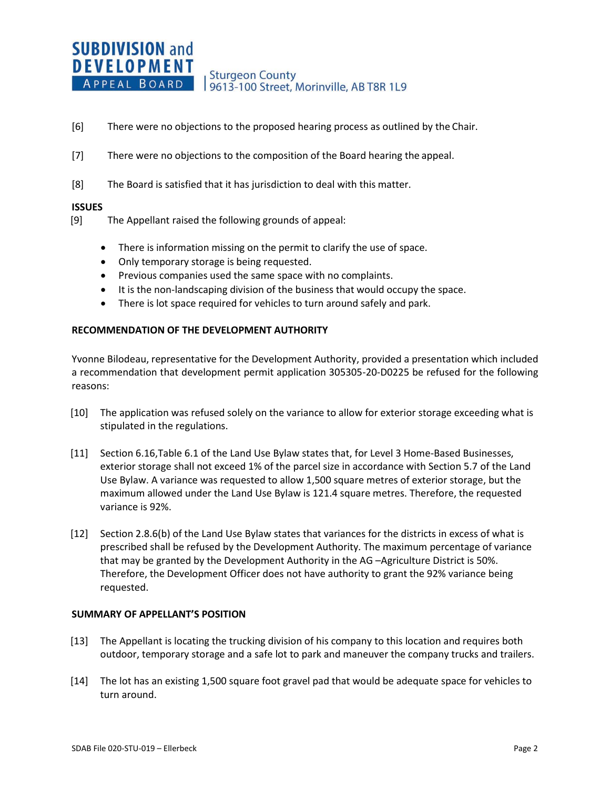- [6] There were no objections to the proposed hearing process as outlined by the Chair.
- [7] There were no objections to the composition of the Board hearing the appeal.
- [8] The Board is satisfied that it has jurisdiction to deal with this matter.

#### **ISSUES**

- [9] The Appellant raised the following grounds of appeal:
	- There is information missing on the permit to clarify the use of space.
	- Only temporary storage is being requested.
	- Previous companies used the same space with no complaints.
	- It is the non-landscaping division of the business that would occupy the space.
	- There is lot space required for vehicles to turn around safely and park.

### **RECOMMENDATION OF THE DEVELOPMENT AUTHORITY**

Yvonne Bilodeau, representative for the Development Authority, provided a presentation which included a recommendation that development permit application 305305-20-D0225 be refused for the following reasons:

- [10] The application was refused solely on the variance to allow for exterior storage exceeding what is stipulated in the regulations.
- [11] Section 6.16,Table 6.1 of the Land Use Bylaw states that, for Level 3 Home-Based Businesses, exterior storage shall not exceed 1% of the parcel size in accordance with Section 5.7 of the Land Use Bylaw. A variance was requested to allow 1,500 square metres of exterior storage, but the maximum allowed under the Land Use Bylaw is 121.4 square metres. Therefore, the requested variance is 92%.
- [12] Section 2.8.6(b) of the Land Use Bylaw states that variances for the districts in excess of what is prescribed shall be refused by the Development Authority*.* The maximum percentage of variance that may be granted by the Development Authority in the AG –Agriculture District is 50%. Therefore, the Development Officer does not have authority to grant the 92% variance being requested.

#### **SUMMARY OF APPELLANT'S POSITION**

- [13] The Appellant is locating the trucking division of his company to this location and requires both outdoor, temporary storage and a safe lot to park and maneuver the company trucks and trailers.
- [14] The lot has an existing 1,500 square foot gravel pad that would be adequate space for vehicles to turn around.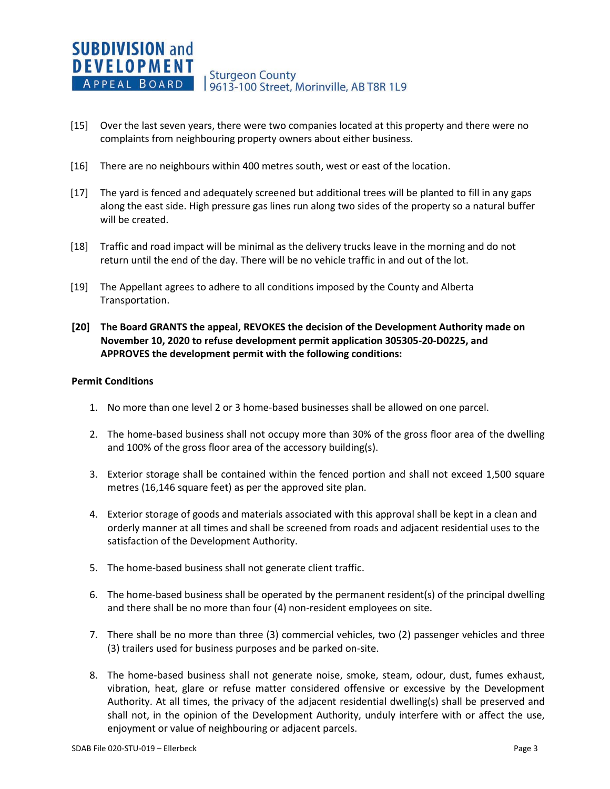- [15] Over the last seven years, there were two companies located at this property and there were no complaints from neighbouring property owners about either business.
- [16] There are no neighbours within 400 metres south, west or east of the location.
- [17] The yard is fenced and adequately screened but additional trees will be planted to fill in any gaps along the east side. High pressure gas lines run along two sides of the property so a natural buffer will be created.
- [18] Traffic and road impact will be minimal as the delivery trucks leave in the morning and do not return until the end of the day. There will be no vehicle traffic in and out of the lot.
- [19] The Appellant agrees to adhere to all conditions imposed by the County and Alberta Transportation.
- **[20] The Board GRANTS the appeal, REVOKES the decision of the Development Authority made on November 10, 2020 to refuse development permit application 305305-20-D0225, and APPROVES the development permit with the following conditions:**

#### **Permit Conditions**

- 1. No more than one level 2 or 3 home-based businesses shall be allowed on one parcel.
- 2. The home-based business shall not occupy more than 30% of the gross floor area of the dwelling and 100% of the gross floor area of the accessory building(s).
- 3. Exterior storage shall be contained within the fenced portion and shall not exceed 1,500 square metres (16,146 square feet) as per the approved site plan.
- 4. Exterior storage of goods and materials associated with this approval shall be kept in a clean and orderly manner at all times and shall be screened from roads and adjacent residential uses to the satisfaction of the Development Authority.
- 5. The home-based business shall not generate client traffic.
- 6. The home-based business shall be operated by the permanent resident(s) of the principal dwelling and there shall be no more than four (4) non-resident employees on site.
- 7. There shall be no more than three (3) commercial vehicles, two (2) passenger vehicles and three (3) trailers used for business purposes and be parked on-site.
- 8. The home-based business shall not generate noise, smoke, steam, odour, dust, fumes exhaust, vibration, heat, glare or refuse matter considered offensive or excessive by the Development Authority. At all times, the privacy of the adjacent residential dwelling(s) shall be preserved and shall not, in the opinion of the Development Authority, unduly interfere with or affect the use, enjoyment or value of neighbouring or adjacent parcels.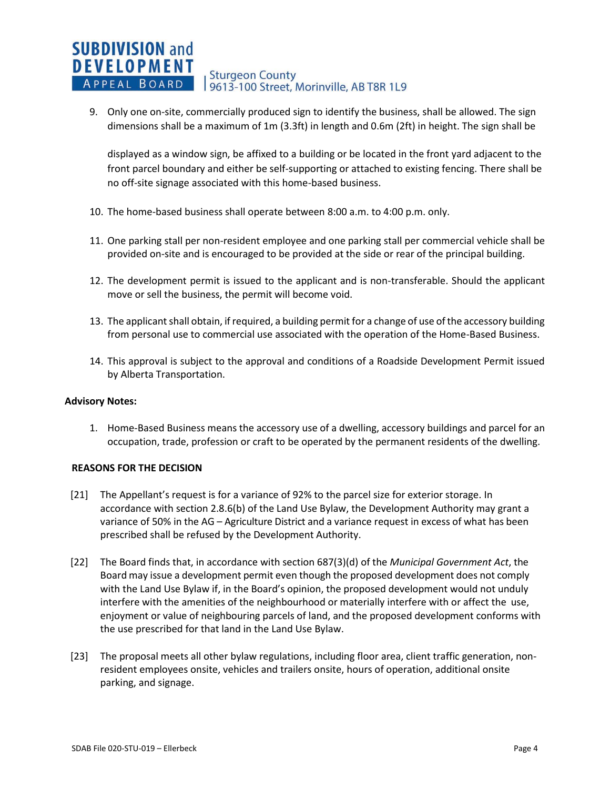#### **SUBDIVISION and DEVELOPMENT Sturgeon County** APPEAL BOARD 19613-100 Street, Morinville, AB T8R 1L9

9. Only one on-site, commercially produced sign to identify the business, shall be allowed. The sign dimensions shall be a maximum of 1m (3.3ft) in length and 0.6m (2ft) in height. The sign shall be

displayed as a window sign, be affixed to a building or be located in the front yard adjacent to the front parcel boundary and either be self-supporting or attached to existing fencing. There shall be no off-site signage associated with this home-based business.

- 10. The home-based business shall operate between 8:00 a.m. to 4:00 p.m. only.
- 11. One parking stall per non-resident employee and one parking stall per commercial vehicle shall be provided on-site and is encouraged to be provided at the side or rear of the principal building.
- 12. The development permit is issued to the applicant and is non-transferable. Should the applicant move or sell the business, the permit will become void.
- 13. The applicant shall obtain, if required, a building permit for a change of use of the accessory building from personal use to commercial use associated with the operation of the Home-Based Business.
- 14. This approval is subject to the approval and conditions of a Roadside Development Permit issued by Alberta Transportation.

#### **Advisory Notes:**

1. Home-Based Business means the accessory use of a dwelling, accessory buildings and parcel for an occupation, trade, profession or craft to be operated by the permanent residents of the dwelling.

#### **REASONS FOR THE DECISION**

- [21] The Appellant's request is for a variance of 92% to the parcel size for exterior storage. In accordance with section 2.8.6(b) of the Land Use Bylaw, the Development Authority may grant a variance of 50% in the AG – Agriculture District and a variance request in excess of what has been prescribed shall be refused by the Development Authority.
- [22] The Board finds that, in accordance with section 687(3)(d) of the *Municipal Government Act*, the Board may issue a development permit even though the proposed development does not comply with the Land Use Bylaw if, in the Board's opinion, the proposed development would not unduly interfere with the amenities of the neighbourhood or materially interfere with or affect the use, enjoyment or value of neighbouring parcels of land, and the proposed development conforms with the use prescribed for that land in the Land Use Bylaw.
- [23] The proposal meets all other bylaw regulations, including floor area, client traffic generation, nonresident employees onsite, vehicles and trailers onsite, hours of operation, additional onsite parking, and signage.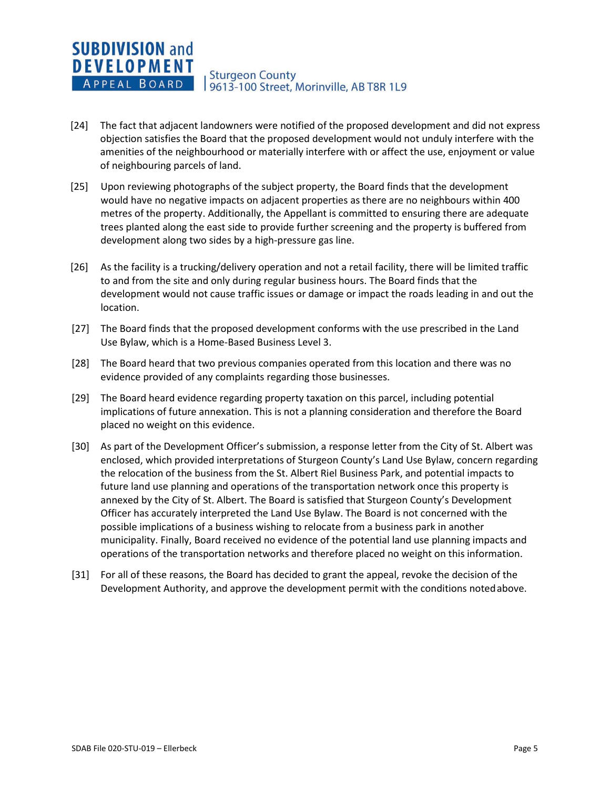#### **SUBDIVISION and DEVELOPMENT Sturgeon County** APPEAL BOARD 9613-100 Street, Morinville, AB T8R 1L9

- [24] The fact that adjacent landowners were notified of the proposed development and did not express objection satisfies the Board that the proposed development would not unduly interfere with the amenities of the neighbourhood or materially interfere with or affect the use, enjoyment or value of neighbouring parcels of land.
- [25] Upon reviewing photographs of the subject property, the Board finds that the development would have no negative impacts on adjacent properties as there are no neighbours within 400 metres of the property. Additionally, the Appellant is committed to ensuring there are adequate trees planted along the east side to provide further screening and the property is buffered from development along two sides by a high-pressure gas line.
- [26] As the facility is a trucking/delivery operation and not a retail facility, there will be limited traffic to and from the site and only during regular business hours. The Board finds that the development would not cause traffic issues or damage or impact the roads leading in and out the location.
- [27] The Board finds that the proposed development conforms with the use prescribed in the Land Use Bylaw, which is a Home-Based Business Level 3.
- [28] The Board heard that two previous companies operated from this location and there was no evidence provided of any complaints regarding those businesses.
- [29] The Board heard evidence regarding property taxation on this parcel, including potential implications of future annexation. This is not a planning consideration and therefore the Board placed no weight on this evidence.
- [30] As part of the Development Officer's submission, a response letter from the City of St. Albert was enclosed, which provided interpretations of Sturgeon County's Land Use Bylaw, concern regarding the relocation of the business from the St. Albert Riel Business Park, and potential impacts to future land use planning and operations of the transportation network once this property is annexed by the City of St. Albert. The Board is satisfied that Sturgeon County's Development Officer has accurately interpreted the Land Use Bylaw. The Board is not concerned with the possible implications of a business wishing to relocate from a business park in another municipality. Finally, Board received no evidence of the potential land use planning impacts and operations of the transportation networks and therefore placed no weight on this information.
- [31] For all of these reasons, the Board has decided to grant the appeal, revoke the decision of the Development Authority, and approve the development permit with the conditions notedabove.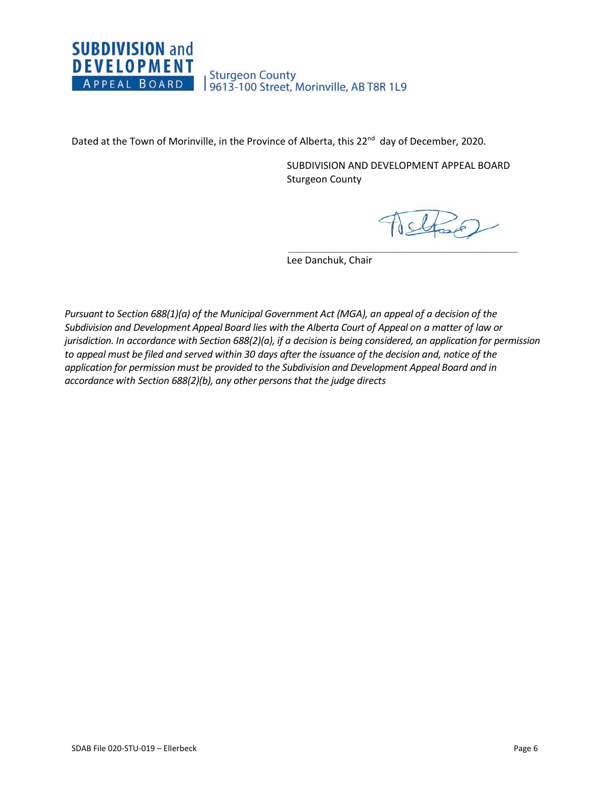## **SUBDIVISION and DEVELOPMENT** Sturgeon County<br>| 9613-100 Street, Morinville, AB T8R 1L9 APPEAL BOARD

Dated at the Town of Morinville, in the Province of Alberta, this 22<sup>nd</sup> day of December, 2020.

SUBDIVISION AND DEVELOPMENT APPEAL BOARD Sturgeon County

 $\overline{\phantom{a}}$  ,  $\overline{\phantom{a}}$  ,  $\overline{\phantom{a}}$  ,  $\overline{\phantom{a}}$  ,  $\overline{\phantom{a}}$  ,  $\overline{\phantom{a}}$  ,  $\overline{\phantom{a}}$  ,  $\overline{\phantom{a}}$  ,  $\overline{\phantom{a}}$  ,  $\overline{\phantom{a}}$  ,  $\overline{\phantom{a}}$  ,  $\overline{\phantom{a}}$  ,  $\overline{\phantom{a}}$  ,  $\overline{\phantom{a}}$  ,  $\overline{\phantom{a}}$  ,  $\overline{\phantom{a}}$ 

Istrael

Lee Danchuk, Chair

*Pursuant to Section 688(1)(a) of the Municipal Government Act (MGA), an appeal of a decision of the Subdivision and Development Appeal Board lies with the Alberta Court of Appeal on a matter of law or jurisdiction. In accordance with Section 688(2)(a), if a decision is being considered, an application for permission to appeal must be filed and served within 30 days after the issuance of the decision and, notice of the application for permission must be provided to the Subdivision and Development Appeal Board and in accordance with Section 688(2)(b), any other persons that the judge directs*